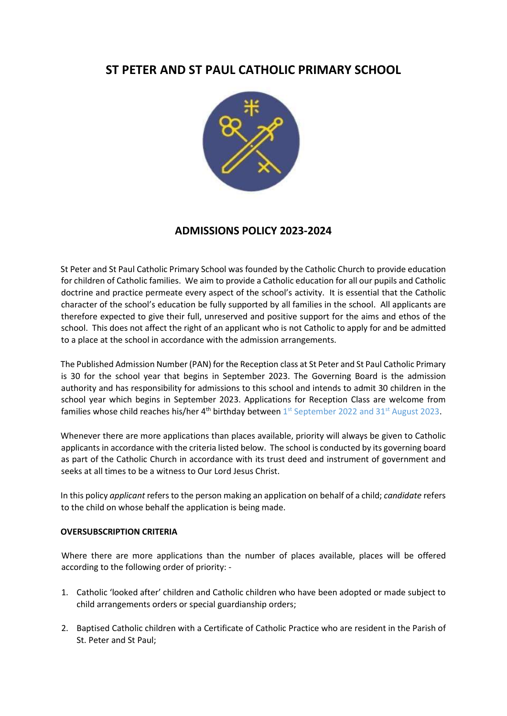# ST PETER AND ST PAUL CATHOLIC PRIMARY SCHOOL



## ADMISSIONS POLICY 2023-2024

St Peter and St Paul Catholic Primary School was founded by the Catholic Church to provide education for children of Catholic families. We aim to provide a Catholic education for all our pupils and Catholic doctrine and practice permeate every aspect of the school's activity. It is essential that the Catholic character of the school's education be fully supported by all families in the school. All applicants are therefore expected to give their full, unreserved and positive support for the aims and ethos of the school. This does not affect the right of an applicant who is not Catholic to apply for and be admitted to a place at the school in accordance with the admission arrangements.

The Published Admission Number (PAN) for the Reception class at St Peter and St Paul Catholic Primary is 30 for the school year that begins in September 2023. The Governing Board is the admission authority and has responsibility for admissions to this school and intends to admit 30 children in the school year which begins in September 2023. Applications for Reception Class are welcome from families whose child reaches his/her  $4<sup>th</sup>$  birthday between  $1<sup>st</sup>$  September 2022 and 31<sup>st</sup> August 2023.

Whenever there are more applications than places available, priority will always be given to Catholic applicants in accordance with the criteria listed below. The school is conducted by its governing board as part of the Catholic Church in accordance with its trust deed and instrument of government and seeks at all times to be a witness to Our Lord Jesus Christ.

In this policy applicant refers to the person making an application on behalf of a child; candidate refers to the child on whose behalf the application is being made.

### OVERSUBSCRIPTION CRITERIA

Where there are more applications than the number of places available, places will be offered according to the following order of priority: -

- 1. Catholic 'looked after' children and Catholic children who have been adopted or made subject to child arrangements orders or special guardianship orders;
- 2. Baptised Catholic children with a Certificate of Catholic Practice who are resident in the Parish of St. Peter and St Paul;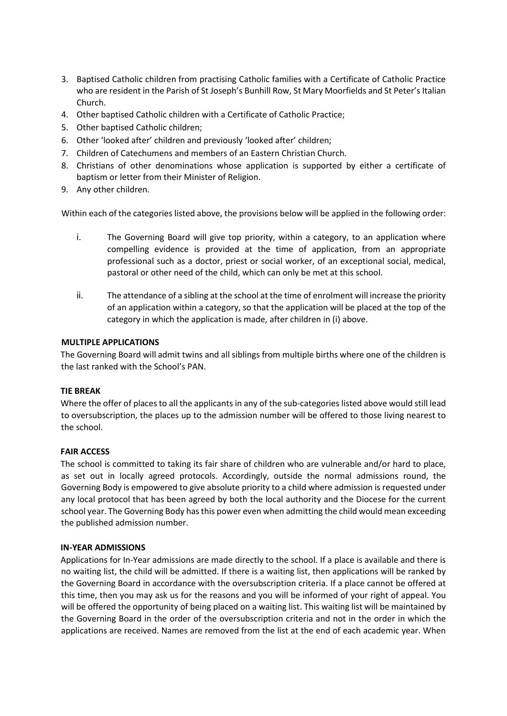- 3. Baptised Catholic children from practising Catholic families with a Certificate of Catholic Practice who are resident in the Parish of St Joseph's Bunhill Row, St Mary Moorfields and St Peter's Italian Church.
- 4. Other baptised Catholic children with a Certificate of Catholic Practice;
- 5. Other baptised Catholic children;
- 6. Other 'looked after' children and previously 'looked after' children;
- 7. Children of Catechumens and members of an Eastern Christian Church.
- 8. Christians of other denominations whose application is supported by either a certificate of baptism or letter from their Minister of Religion.
- 9. Any other children.

Within each of the categories listed above, the provisions below will be applied in the following order:

- i. The Governing Board will give top priority, within a category, to an application where compelling evidence is provided at the time of application, from an appropriate professional such as a doctor, priest or social worker, of an exceptional social, medical, pastoral or other need of the child, which can only be met at this school.
- ii. The attendance of a sibling at the school at the time of enrolment will increase the priority of an application within a category, so that the application will be placed at the top of the category in which the application is made, after children in (i) above.

### MULTIPLE APPLICATIONS

The Governing Board will admit twins and all siblings from multiple births where one of the children is the last ranked with the School's PAN.

### TIE BREAK

Where the offer of places to all the applicants in any of the sub-categories listed above would still lead to oversubscription, the places up to the admission number will be offered to those living nearest to the school.

### FAIR ACCESS

The school is committed to taking its fair share of children who are vulnerable and/or hard to place, as set out in locally agreed protocols. Accordingly, outside the normal admissions round, the Governing Body is empowered to give absolute priority to a child where admission is requested under any local protocol that has been agreed by both the local authority and the Diocese for the current school year. The Governing Body has this power even when admitting the child would mean exceeding the published admission number.

### IN-YEAR ADMISSIONS

Applications for In-Year admissions are made directly to the school. If a place is available and there is no waiting list, the child will be admitted. If there is a waiting list, then applications will be ranked by the Governing Board in accordance with the oversubscription criteria. If a place cannot be offered at this time, then you may ask us for the reasons and you will be informed of your right of appeal. You will be offered the opportunity of being placed on a waiting list. This waiting list will be maintained by the Governing Board in the order of the oversubscription criteria and not in the order in which the applications are received. Names are removed from the list at the end of each academic year. When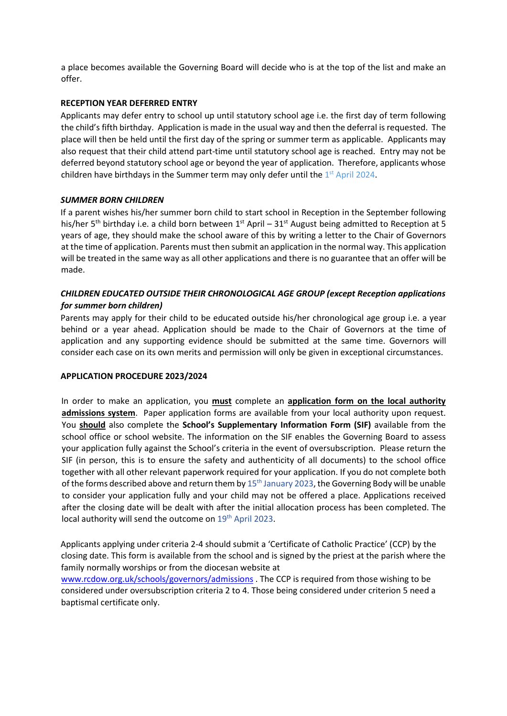a place becomes available the Governing Board will decide who is at the top of the list and make an offer.

### RECEPTION YEAR DEFERRED ENTRY

Applicants may defer entry to school up until statutory school age i.e. the first day of term following the child's fifth birthday. Application is made in the usual way and then the deferral is requested. The place will then be held until the first day of the spring or summer term as applicable. Applicants may also request that their child attend part-time until statutory school age is reached. Entry may not be deferred beyond statutory school age or beyond the year of application. Therefore, applicants whose children have birthdays in the Summer term may only defer until the  $1<sup>st</sup>$  April 2024.

### SUMMER BORN CHILDREN

If a parent wishes his/her summer born child to start school in Reception in the September following his/her 5<sup>th</sup> birthday i.e. a child born between 1<sup>st</sup> April – 31<sup>st</sup> August being admitted to Reception at 5 years of age, they should make the school aware of this by writing a letter to the Chair of Governors at the time of application. Parents must then submit an application in the normal way. This application will be treated in the same way as all other applications and there is no guarantee that an offer will be made.

### CHILDREN EDUCATED OUTSIDE THEIR CHRONOLOGICAL AGE GROUP (except Reception applications for summer born children)

Parents may apply for their child to be educated outside his/her chronological age group i.e. a year behind or a year ahead. Application should be made to the Chair of Governors at the time of application and any supporting evidence should be submitted at the same time. Governors will consider each case on its own merits and permission will only be given in exceptional circumstances.

### APPLICATION PROCEDURE 2023/2024

In order to make an application, you must complete an application form on the local authority admissions system. Paper application forms are available from your local authority upon request. You should also complete the School's Supplementary Information Form (SIF) available from the school office or school website. The information on the SIF enables the Governing Board to assess your application fully against the School's criteria in the event of oversubscription. Please return the SIF (in person, this is to ensure the safety and authenticity of all documents) to the school office together with all other relevant paperwork required for your application. If you do not complete both of the forms described above and return them by  $15<sup>th</sup>$  January 2023, the Governing Body will be unable to consider your application fully and your child may not be offered a place. Applications received after the closing date will be dealt with after the initial allocation process has been completed. The local authority will send the outcome on 19<sup>th</sup> April 2023.

Applicants applying under criteria 2-4 should submit a 'Certificate of Catholic Practice' (CCP) by the closing date. This form is available from the school and is signed by the priest at the parish where the family normally worships or from the diocesan website at

www.rcdow.org.uk/schools/governors/admissions . The CCP is required from those wishing to be considered under oversubscription criteria 2 to 4. Those being considered under criterion 5 need a baptismal certificate only.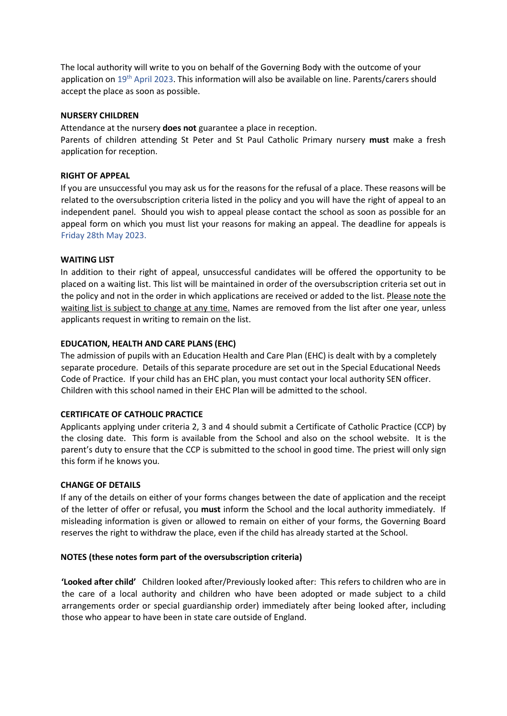The local authority will write to you on behalf of the Governing Body with the outcome of your application on 19<sup>th</sup> April 2023. This information will also be available on line. Parents/carers should accept the place as soon as possible.

### NURSERY CHILDREN

Attendance at the nursery **does not** guarantee a place in reception.

Parents of children attending St Peter and St Paul Catholic Primary nursery must make a fresh application for reception.

### RIGHT OF APPEAL

If you are unsuccessful you may ask us for the reasons for the refusal of a place. These reasons will be related to the oversubscription criteria listed in the policy and you will have the right of appeal to an independent panel. Should you wish to appeal please contact the school as soon as possible for an appeal form on which you must list your reasons for making an appeal. The deadline for appeals is Friday 28th May 2023.

### WAITING LIST

In addition to their right of appeal, unsuccessful candidates will be offered the opportunity to be placed on a waiting list. This list will be maintained in order of the oversubscription criteria set out in the policy and not in the order in which applications are received or added to the list. Please note the waiting list is subject to change at any time. Names are removed from the list after one year, unless applicants request in writing to remain on the list.

### EDUCATION, HEALTH AND CARE PLANS (EHC)

The admission of pupils with an Education Health and Care Plan (EHC) is dealt with by a completely separate procedure. Details of this separate procedure are set out in the Special Educational Needs Code of Practice. If your child has an EHC plan, you must contact your local authority SEN officer. Children with this school named in their EHC Plan will be admitted to the school.

### CERTIFICATE OF CATHOLIC PRACTICE

Applicants applying under criteria 2, 3 and 4 should submit a Certificate of Catholic Practice (CCP) by the closing date. This form is available from the School and also on the school website. It is the parent's duty to ensure that the CCP is submitted to the school in good time. The priest will only sign this form if he knows you.

### CHANGE OF DETAILS

If any of the details on either of your forms changes between the date of application and the receipt of the letter of offer or refusal, you must inform the School and the local authority immediately. If misleading information is given or allowed to remain on either of your forms, the Governing Board reserves the right to withdraw the place, even if the child has already started at the School.

### NOTES (these notes form part of the oversubscription criteria)

'Looked after child' Children looked after/Previously looked after: This refers to children who are in the care of a local authority and children who have been adopted or made subject to a child arrangements order or special guardianship order) immediately after being looked after, including those who appear to have been in state care outside of England.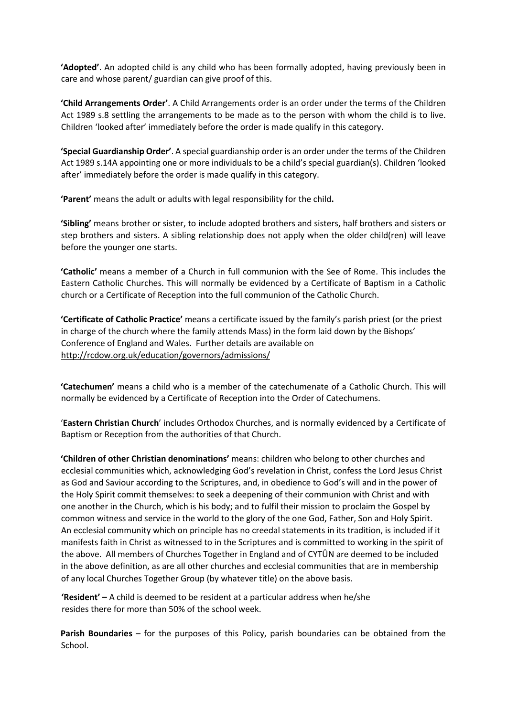'Adopted'. An adopted child is any child who has been formally adopted, having previously been in care and whose parent/ guardian can give proof of this.

'Child Arrangements Order'. A Child Arrangements order is an order under the terms of the Children Act 1989 s.8 settling the arrangements to be made as to the person with whom the child is to live. Children 'looked after' immediately before the order is made qualify in this category.

'Special Guardianship Order'. A special guardianship order is an order under the terms of the Children Act 1989 s.14A appointing one or more individuals to be a child's special guardian(s). Children 'looked after' immediately before the order is made qualify in this category.

'Parent' means the adult or adults with legal responsibility for the child.

'Sibling' means brother or sister, to include adopted brothers and sisters, half brothers and sisters or step brothers and sisters. A sibling relationship does not apply when the older child(ren) will leave before the younger one starts.

'Catholic' means a member of a Church in full communion with the See of Rome. This includes the Eastern Catholic Churches. This will normally be evidenced by a Certificate of Baptism in a Catholic church or a Certificate of Reception into the full communion of the Catholic Church.

'Certificate of Catholic Practice' means a certificate issued by the family's parish priest (or the priest in charge of the church where the family attends Mass) in the form laid down by the Bishops' Conference of England and Wales. Further details are available on http://rcdow.org.uk/education/governors/admissions/

'Catechumen' means a child who is a member of the catechumenate of a Catholic Church. This will normally be evidenced by a Certificate of Reception into the Order of Catechumens.

'Eastern Christian Church' includes Orthodox Churches, and is normally evidenced by a Certificate of Baptism or Reception from the authorities of that Church.

'Children of other Christian denominations' means: children who belong to other churches and ecclesial communities which, acknowledging God's revelation in Christ, confess the Lord Jesus Christ as God and Saviour according to the Scriptures, and, in obedience to God's will and in the power of the Holy Spirit commit themselves: to seek a deepening of their communion with Christ and with one another in the Church, which is his body; and to fulfil their mission to proclaim the Gospel by common witness and service in the world to the glory of the one God, Father, Son and Holy Spirit. An ecclesial community which on principle has no creedal statements in its tradition, is included if it manifests faith in Christ as witnessed to in the Scriptures and is committed to working in the spirit of the above. All members of Churches Together in England and of CYTÛN are deemed to be included in the above definition, as are all other churches and ecclesial communities that are in membership of any local Churches Together Group (by whatever title) on the above basis.

**'Resident'** – A child is deemed to be resident at a particular address when he/she resides there for more than 50% of the school week.

Parish Boundaries – for the purposes of this Policy, parish boundaries can be obtained from the School.